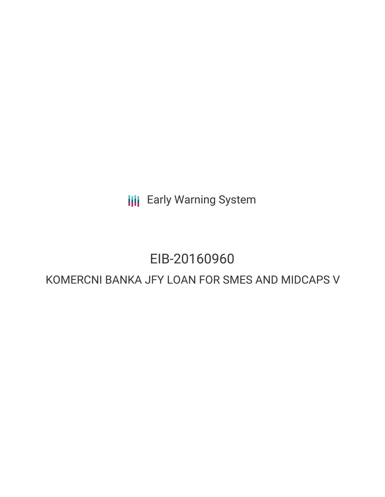**III** Early Warning System

# EIB-20160960

## KOMERCNI BANKA JFY LOAN FOR SMES AND MIDCAPS V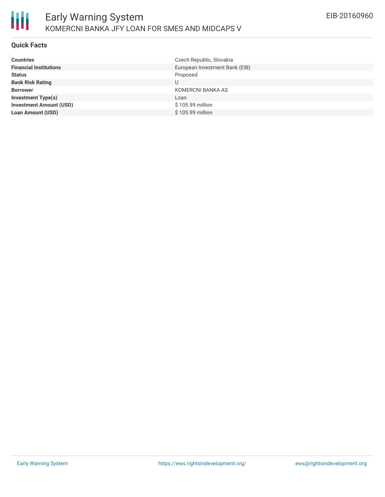### **Quick Facts**

| European Investment Bank (EIB)<br><b>Financial Institutions</b><br>Proposed | <b>Countries</b> |
|-----------------------------------------------------------------------------|------------------|
|                                                                             |                  |
|                                                                             | <b>Status</b>    |
| <b>Bank Risk Rating</b><br>U                                                |                  |
| KOMERCNI BANKA AS<br><b>Borrower</b>                                        |                  |
| <b>Investment Type(s)</b><br>Loan                                           |                  |
| <b>Investment Amount (USD)</b><br>\$105.99 million                          |                  |
| \$105.99 million<br><b>Loan Amount (USD)</b>                                |                  |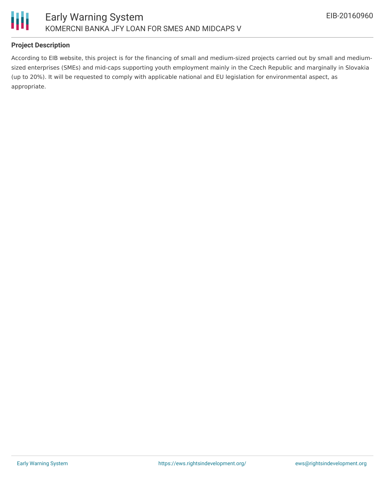

### **Project Description**

According to EIB website, this project is for the financing of small and medium-sized projects carried out by small and mediumsized enterprises (SMEs) and mid-caps supporting youth employment mainly in the Czech Republic and marginally in Slovakia (up to 20%). It will be requested to comply with applicable national and EU legislation for environmental aspect, as appropriate.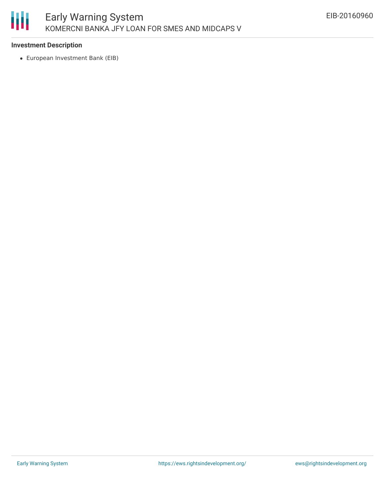

#### **Investment Description**

European Investment Bank (EIB)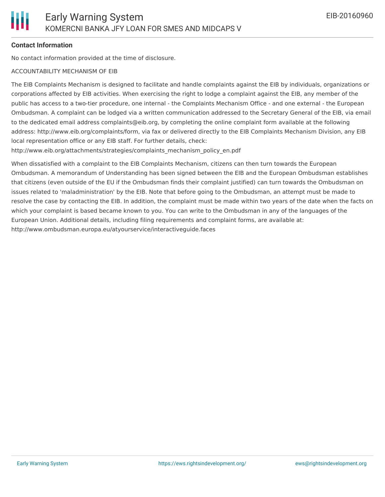#### **Contact Information**

No contact information provided at the time of disclosure.

#### ACCOUNTABILITY MECHANISM OF EIB

The EIB Complaints Mechanism is designed to facilitate and handle complaints against the EIB by individuals, organizations or corporations affected by EIB activities. When exercising the right to lodge a complaint against the EIB, any member of the public has access to a two-tier procedure, one internal - the Complaints Mechanism Office - and one external - the European Ombudsman. A complaint can be lodged via a written communication addressed to the Secretary General of the EIB, via email to the dedicated email address complaints@eib.org, by completing the online complaint form available at the following address: http://www.eib.org/complaints/form, via fax or delivered directly to the EIB Complaints Mechanism Division, any EIB local representation office or any EIB staff. For further details, check:

http://www.eib.org/attachments/strategies/complaints\_mechanism\_policy\_en.pdf

When dissatisfied with a complaint to the EIB Complaints Mechanism, citizens can then turn towards the European Ombudsman. A memorandum of Understanding has been signed between the EIB and the European Ombudsman establishes that citizens (even outside of the EU if the Ombudsman finds their complaint justified) can turn towards the Ombudsman on issues related to 'maladministration' by the EIB. Note that before going to the Ombudsman, an attempt must be made to resolve the case by contacting the EIB. In addition, the complaint must be made within two years of the date when the facts on which your complaint is based became known to you. You can write to the Ombudsman in any of the languages of the European Union. Additional details, including filing requirements and complaint forms, are available at: http://www.ombudsman.europa.eu/atyourservice/interactiveguide.faces